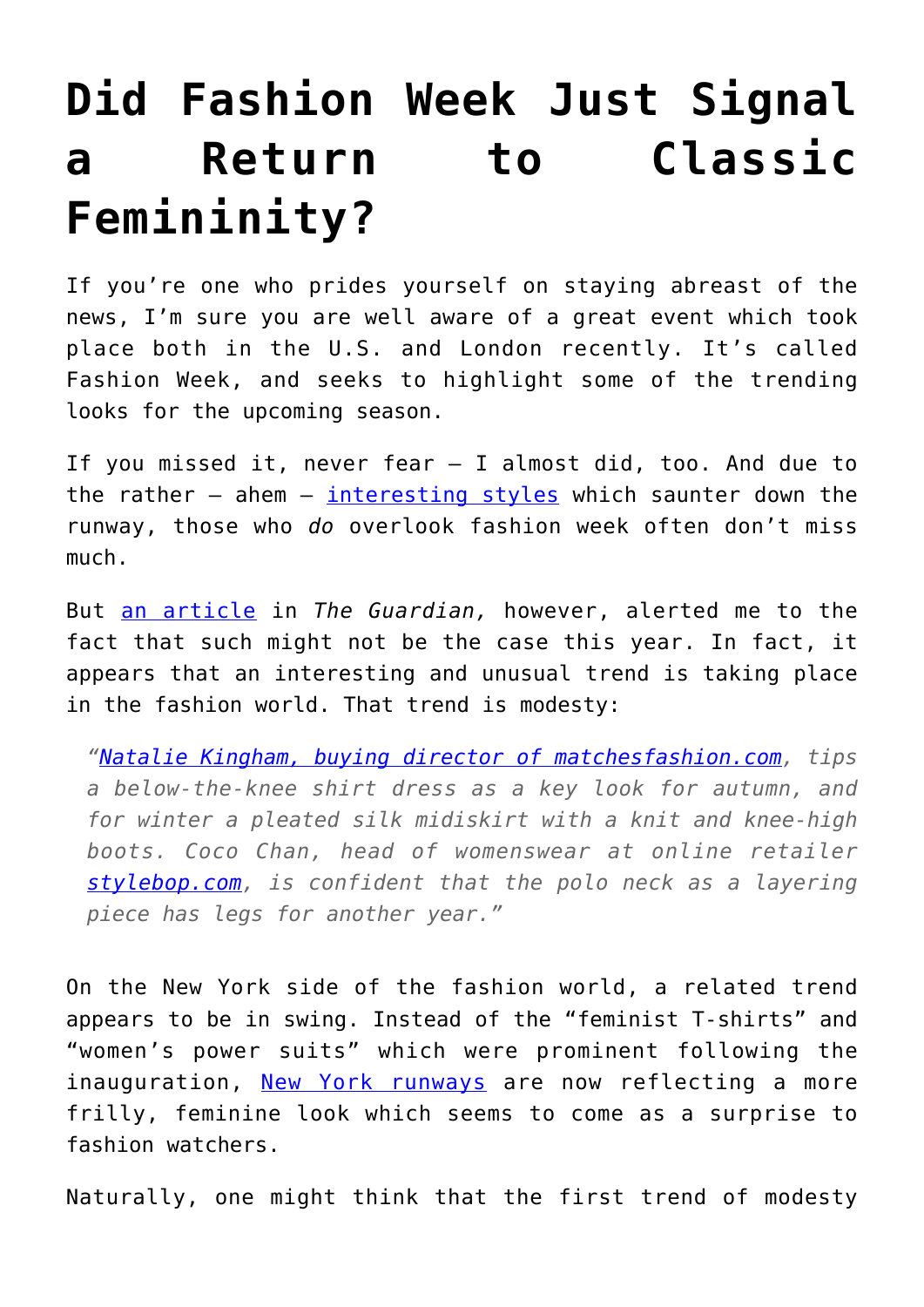## **[Did Fashion Week Just Signal](https://intellectualtakeout.org/2017/09/did-fashion-week-just-signal-a-return-to-classic-femininity/) [a Return to Classic](https://intellectualtakeout.org/2017/09/did-fashion-week-just-signal-a-return-to-classic-femininity/) [Femininity?](https://intellectualtakeout.org/2017/09/did-fashion-week-just-signal-a-return-to-classic-femininity/)**

If you're one who prides yourself on staying abreast of the news, I'm sure you are well aware of a great event which took place both in the U.S. and London recently. It's called Fashion Week, and seeks to highlight some of the trending looks for the upcoming season.

If you missed it, never fear – I almost did, too. And due to the rather  $-$  ahem  $-$  [interesting styles](https://www.intellectualtakeout.org/blog/bride-has-nothing) which saunter down the runway, those who *do* overlook fashion week often don't miss much.

But [an article](https://www.theguardian.com/fashion/2017/sep/13/the-great-cover-up-why-were-all-dressing-modestly-now) in *The Guardian,* however, alerted me to the fact that such might not be the case this year. In fact, it appears that an interesting and unusual trend is taking place in the fashion world. That trend is modesty:

*["Natalie Kingham, buying director of matchesfashion.com,](http://www.matchesfashion.com/womens/the-style-report/archive/fashion-families-issue-pre-aw14/natalie-kingham-buyers-sale-edit/) tips a below-the-knee shirt dress as a key look for autumn, and for winter a pleated silk midiskirt with a knit and knee-high boots. Coco Chan, head of womenswear at online retailer [stylebop.com](https://www.stylebop.com/en-de/women), is confident that the polo neck as a layering piece has legs for another year."*

On the New York side of the fashion world, a related trend appears to be in swing. Instead of the "feminist T-shirts" and "women's power suits" which were prominent following the inauguration, [New York runways](http://www.billboard.com/articles/news/lifestyle/7957990/nyfw-femininity-feminism-collide) are now reflecting a more frilly, feminine look which seems to come as a surprise to fashion watchers.

Naturally, one might think that the first trend of modesty